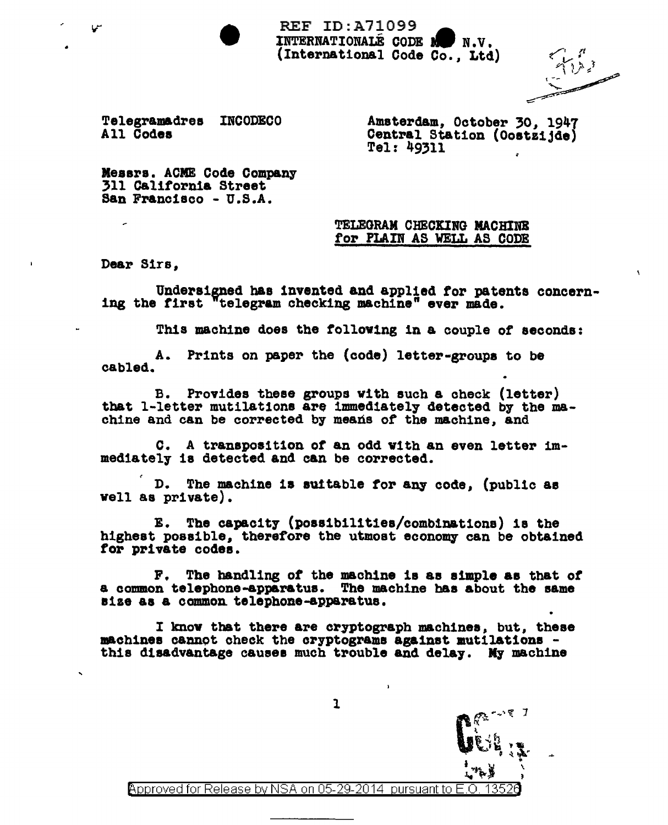• • REF ID:A71099 INTERNATIONALE CODE N N.V. (International Code Co., Ltd)

ستمبر<br>سنج المراس

 $\mathbf{r}$ 

Telegramadres INCODECO All Codee

Amsterdam, October *30,* 1947 Central Station (Oostzijde)<br>Tel: 49311 •

lleaara. ACME Code Company 311 California Street San Francisco - U.S.A.

> TELEGRAM CHECKING MACHINB for PLAIN AS WELL AS CODE

Dear Sirs,

Undersigned has invented and applied for patents concerning the first "telegram checking machine" ever made.

This machine does the tolloving in a couple of seconds:

A. Prints on paper the (code) letter•groupa to be cabled.

B. Provides these groups with such a check (letter) tbat 1-letter mutilations are immediately detected by the machine and can be corrected by means *ot* the machine, and

c. A transposition or an odd with an even letter immediately ia detected and can be corrected.

D. The machine is suitable for any code, (public as well &8 private).

E. The capacity (poas1bilit1e8/comb1nations) 18 the highest possible, therefore the utmost economy can be obtained tor private codes.

F. The handling of the machine is as simple as that of a common telephone-apparatus. The machine bas about the same size aa a common. telephone-apparatus.

I know that there are cryptograph machines, but, these<br>machines cannot check the cryptograms against mutilations this disadvantage causes much trouble and delay. My machine

 $\mathbf{L}$ Approved for Release by NSA on 05-29-2014 pursuant to E.O.